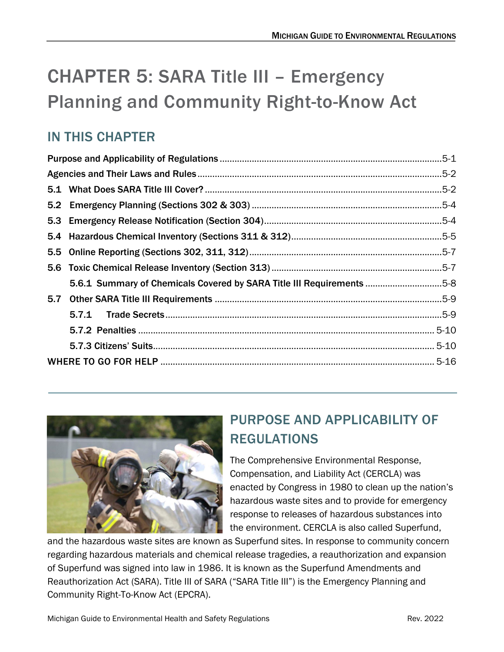# CHAPTER 5: SARA Title III – Emergency Planning and Community Right-to-Know Act

## IN THIS CHAPTER

| 5-8. Summary of Chemicals Covered by SARA Title III Requirements 5-8 |  |  |
|----------------------------------------------------------------------|--|--|
|                                                                      |  |  |
|                                                                      |  |  |
|                                                                      |  |  |
|                                                                      |  |  |
|                                                                      |  |  |



ł

## <span id="page-0-0"></span>PURPOSE AND APPLICABILITY OF REGULATIONS

The Comprehensive Environmental Response, Compensation, and Liability Act (CERCLA) was enacted by Congress in 1980 to clean up the nation's hazardous waste sites and to provide for emergency response to releases of hazardous substances into the environment. CERCLA is also called Superfund,

and the hazardous waste sites are known as Superfund sites. In response to community concern regarding hazardous materials and chemical release tragedies, a reauthorization and expansion of Superfund was signed into law in 1986. It is known as the Superfund Amendments and Reauthorization Act (SARA). Title III of SARA ("SARA Title III") is the Emergency Planning and Community Right-To-Know Act (EPCRA).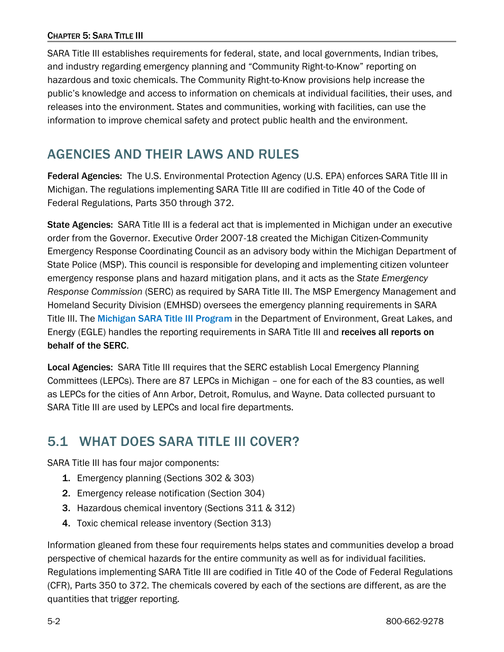#### CHAPTER 5: SARA TITLE III

SARA Title III establishes requirements for federal, state, and local governments, Indian tribes, and industry regarding emergency planning and "Community Right-to-Know" reporting on hazardous and toxic chemicals. The Community Right-to-Know provisions help increase the public's knowledge and access to information on chemicals at individual facilities, their uses, and releases into the environment. States and communities, working with facilities, can use the information to improve chemical safety and protect public health and the environment.

## <span id="page-1-0"></span>AGENCIES AND THEIR LAWS AND RULES

Federal Agencies: The U.S. Environmental Protection Agency (U.S. EPA) enforces SARA Title III in Michigan. The regulations implementing SARA Title III are codified in Title 40 of the Code of Federal Regulations, Parts 350 through 372.

State Agencies: SARA Title III is a federal act that is implemented in Michigan under an executive order from the Governor. Executive Order 2007-18 created the Michigan Citizen-Community Emergency Response Coordinating Council as an advisory body within the Michigan Department of State Police (MSP). This council is responsible for developing and implementing citizen volunteer emergency response plans and hazard mitigation plans, and it acts as the *State Emergency Response Commission* (SERC) as required by SARA Title III. The MSP Emergency Management and Homeland Security Division (EMHSD) oversees the emergency planning requirements in SARA TitleIII. The [Michigan SARA Title III Program](https://www.michigan.gov/egle/regulatory-assistance/emergency-planning-and-community-right-to-know/emergency-planning-and-community-right-to-know-act) in the Department of Environment, Great Lakes, and Energy (EGLE) handles the reporting requirements in SARA Title III and receives all reports on behalf of the SERC.

Local Agencies: SARA Title III requires that the SERC establish Local Emergency Planning Committees (LEPCs). There are 87 LEPCs in Michigan – one for each of the 83 counties, as well as LEPCs for the cities of Ann Arbor, Detroit, Romulus, and Wayne. Data collected pursuant to SARA Title III are used by LEPCs and local fire departments.

## <span id="page-1-1"></span>5.1 WHAT DOES SARA TITLE III COVER?

SARA Title III has four major components:

- 1. Emergency planning (Sections 302 & 303)
- 2. Emergency release notification (Section 304)
- 3. Hazardous chemical inventory (Sections 311 & 312)
- 4. Toxic chemical release inventory (Section 313)

Information gleaned from these four requirements helps states and communities develop a broad perspective of chemical hazards for the entire community as well as for individual facilities. Regulations implementing SARA Title III are codified in Title 40 of the Code of Federal Regulations (CFR), Parts 350 to 372. The chemicals covered by each of the sections are different, as are the quantities that trigger reporting.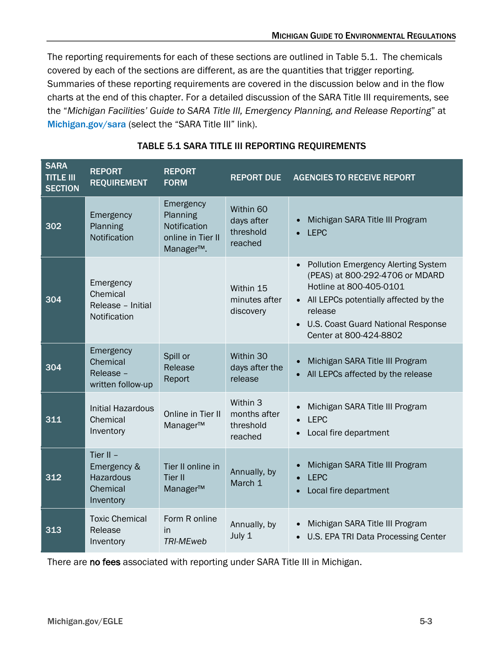The reporting requirements for each of these sections are outlined in Table 5.1. The chemicals covered by each of the sections are different, as are the quantities that trigger reporting. Summaries of these reporting requirements are covered in the discussion below and in the flow charts at the end of this chapter. For a detailed discussion of the SARA Title III requirements, see the "*Michigan Facilities' Guide to SARA Title III, Emergency Planning, and Release Reporting*" at [Michigan.gov/sara](https://www.michigan.gov/egle/regulatory-assistance/emergency-planning-and-community-right-to-know) (select the "SARA Title III" link).

| <b>SARA</b><br><b>TITLE III</b><br><b>SECTION</b> | <b>REPORT</b><br><b>REQUIREMENT</b>                                     | <b>REPORT</b><br><b>FORM</b>                                                         | <b>REPORT DUE</b>                                | <b>AGENCIES TO RECEIVE REPORT</b>                                                                                                                                                                                                                             |
|---------------------------------------------------|-------------------------------------------------------------------------|--------------------------------------------------------------------------------------|--------------------------------------------------|---------------------------------------------------------------------------------------------------------------------------------------------------------------------------------------------------------------------------------------------------------------|
| 302                                               | Emergency<br>Planning<br>Notification                                   | Emergency<br>Planning<br>Notification<br>online in Tier II<br>Manager <sup>™</sup> . | Within 60<br>days after<br>threshold<br>reached  | Michigan SARA Title III Program<br><b>LEPC</b>                                                                                                                                                                                                                |
| 304                                               | Emergency<br>Chemical<br>Release - Initial<br>Notification              |                                                                                      | Within 15<br>minutes after<br>discovery          | <b>Pollution Emergency Alerting System</b><br>$\bullet$<br>(PEAS) at 800-292-4706 or MDARD<br>Hotline at 800-405-0101<br>All LEPCs potentially affected by the<br>release<br><b>U.S. Coast Guard National Response</b><br>$\bullet$<br>Center at 800-424-8802 |
| 304                                               | Emergency<br>Chemical<br>Release -<br>written follow-up                 | Spill or<br>Release<br>Report                                                        | Within 30<br>days after the<br>release           | Michigan SARA Title III Program<br>All LEPCs affected by the release                                                                                                                                                                                          |
| 311                                               | <b>Initial Hazardous</b><br>Chemical<br>Inventory                       | Online in Tier II<br>Manager™                                                        | Within 3<br>months after<br>threshold<br>reached | Michigan SARA Title III Program<br><b>LEPC</b><br>Local fire department                                                                                                                                                                                       |
| 312                                               | Tier II $-$<br>Emergency &<br><b>Hazardous</b><br>Chemical<br>Inventory | Tier II online in<br><b>Tier II</b><br>Manager™                                      | Annually, by<br>March 1                          | Michigan SARA Title III Program<br><b>LEPC</b><br>Local fire department                                                                                                                                                                                       |
| 313                                               | <b>Toxic Chemical</b><br>Release<br>Inventory                           | Form R online<br>in<br><b>TRI-MEweb</b>                                              | Annually, by<br>July 1                           | Michigan SARA Title III Program<br>U.S. EPA TRI Data Processing Center<br>$\bullet$                                                                                                                                                                           |

### TABLE 5.1 SARA TITLE III REPORTING REQUIREMENTS

There are no fees associated with reporting under SARA Title III in Michigan.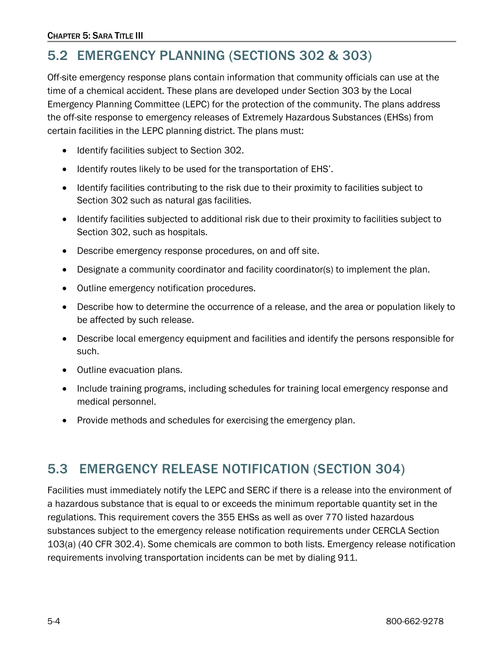## <span id="page-3-0"></span>5.2 EMERGENCY PLANNING (SECTIONS 302 & 303)

Off-site emergency response plans contain information that community officials can use at the time of a chemical accident. These plans are developed under Section 303 by the Local Emergency Planning Committee (LEPC) for the protection of the community. The plans address the off-site response to emergency releases of Extremely Hazardous Substances (EHSs) from certain facilities in the LEPC planning district. The plans must:

- Identify facilities subject to Section 302.
- Identify routes likely to be used for the transportation of EHS'.
- Identify facilities contributing to the risk due to their proximity to facilities subject to Section 302 such as natural gas facilities.
- Identify facilities subjected to additional risk due to their proximity to facilities subject to Section 302, such as hospitals.
- Describe emergency response procedures, on and off site.
- Designate a community coordinator and facility coordinator(s) to implement the plan.
- Outline emergency notification procedures.
- Describe how to determine the occurrence of a release, and the area or population likely to be affected by such release.
- Describe local emergency equipment and facilities and identify the persons responsible for such.
- Outline evacuation plans.
- Include training programs, including schedules for training local emergency response and medical personnel.
- Provide methods and schedules for exercising the emergency plan.

## <span id="page-3-1"></span>5.3 EMERGENCY RELEASE NOTIFICATION (SECTION 304)

Facilities must immediately notify the LEPC and SERC if there is a release into the environment of a hazardous substance that is equal to or exceeds the minimum reportable quantity set in the regulations. This requirement covers the 355 EHSs as well as over 770 listed hazardous substances subject to the emergency release notification requirements under CERCLA Section 103(a) (40 CFR 302.4). Some chemicals are common to both lists. Emergency release notification requirements involving transportation incidents can be met by dialing 911.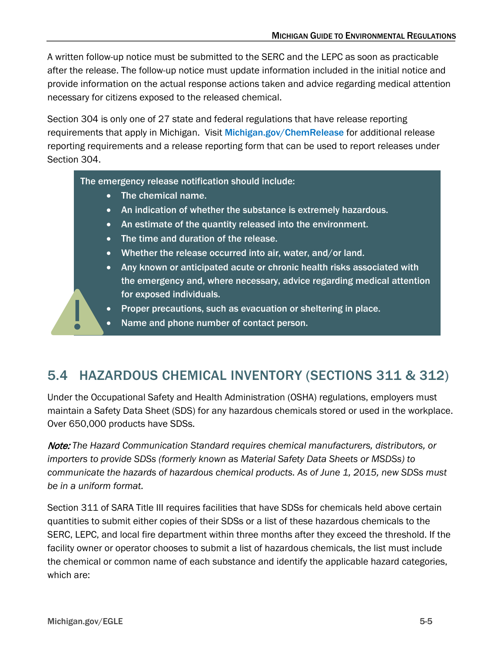A written follow-up notice must be submitted to the SERC and the LEPC as soon as practicable after the release. The follow-up notice must update information included in the initial notice and provide information on the actual response actions taken and advice regarding medical attention necessary for citizens exposed to the released chemical.

Section 304 is only one of 27 state and federal regulations that have release reporting requirements that apply in Michigan. Visit [Michigan.gov/ChemRelease](https://www.michigan.gov/egle/regulatory-assistance/emergency-planning-and-community-right-to-know/spill-release-reporting) for additional release reporting requirements and a release reporting form that can be used to report releases under Section 304.

The emergency release notification should include:

- The chemical name.
- An indication of whether the substance is extremely hazardous.
- An estimate of the quantity released into the environment.
- The time and duration of the release.
- Whether the release occurred into air, water, and/or land.
- Any known or anticipated acute or chronic health risks associated with the emergency and, where necessary, advice regarding medical attention for exposed individuals.
- Proper precautions, such as evacuation or sheltering in place.
- Name and phone number of contact person.

## <span id="page-4-0"></span>5.4 HAZARDOUS CHEMICAL INVENTORY (SECTIONS 311 & 312)

Under the Occupational Safety and Health Administration (OSHA) regulations, employers must maintain a Safety Data Sheet (SDS) for any hazardous chemicals stored or used in the workplace. Over 650,000 products have SDSs.

Note: *The Hazard Communication Standard requires chemical manufacturers, distributors, or importers to provide SDSs (formerly known as Material Safety Data Sheets or MSDSs) to communicate the hazards of hazardous chemical products. As of June 1, 2015, new SDSs must be in a uniform format.* 

Section 311 of SARA Title III requires facilities that have SDSs for chemicals held above certain quantities to submit either copies of their SDSs or a list of these hazardous chemicals to the SERC, LEPC, and local fire department within three months after they exceed the threshold. If the facility owner or operator chooses to submit a list of hazardous chemicals, the list must include the chemical or common name of each substance and identify the applicable hazard categories, which are: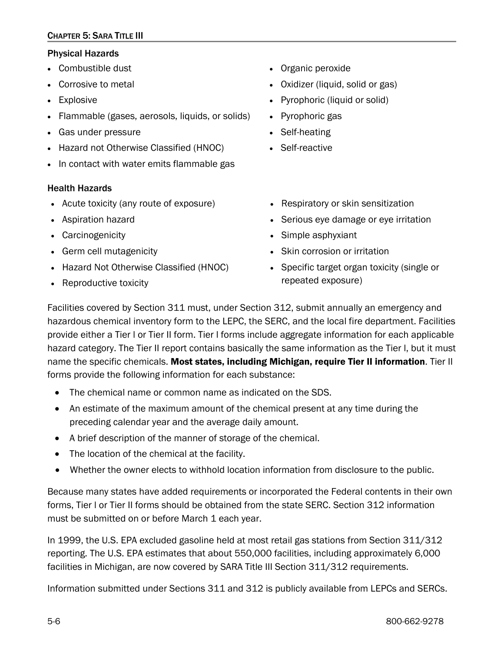#### CHAPTER 5: SARA TITLE III

#### Physical Hazards

- Combustible dust
- Corrosive to metal
- Explosive
- Flammable (gases, aerosols, liquids, or solids)
- Gas under pressure
- Hazard not Otherwise Classified (HNOC)
- In contact with water emits flammable gas

#### Health Hazards

- Acute toxicity (any route of exposure)
- Aspiration hazard
- Carcinogenicity
- Germ cell mutagenicity
- Hazard Not Otherwise Classified (HNOC)
- Reproductive toxicity
- Organic peroxide
- Oxidizer (liquid, solid or gas)
- Pyrophoric (liquid or solid)
- Pyrophoric gas
- Self-heating
- Self-reactive
- Respiratory or skin sensitization
- Serious eye damage or eye irritation
- Simple asphyxiant
- Skin corrosion or irritation
- Specific target organ toxicity (single or repeated exposure)

Facilities covered by Section 311 must, under Section 312, submit annually an emergency and hazardous chemical inventory form to the LEPC, the SERC, and the local fire department. Facilities provide either a Tier l or Tier II form. Tier l forms include aggregate information for each applicable hazard category. The Tier II report contains basically the same information as the Tier l, but it must name the specific chemicals. Most states, including Michigan, require Tier II information. Tier II forms provide the following information for each substance:

- The chemical name or common name as indicated on the SDS.
- An estimate of the maximum amount of the chemical present at any time during the preceding calendar year and the average daily amount.
- A brief description of the manner of storage of the chemical.
- The location of the chemical at the facility.
- Whether the owner elects to withhold location information from disclosure to the public.

Because many states have added requirements or incorporated the Federal contents in their own forms, Tier l or Tier II forms should be obtained from the state SERC. Section 312 information must be submitted on or before March 1 each year.

In 1999, the U.S. EPA excluded gasoline held at most retail gas stations from Section 311/312 reporting. The U.S. EPA estimates that about 550,000 facilities, including approximately 6,000 facilities in Michigan, are now covered by SARA Title III Section 311/312 requirements.

Information submitted under Sections 311 and 312 is publicly available from LEPCs and SERCs.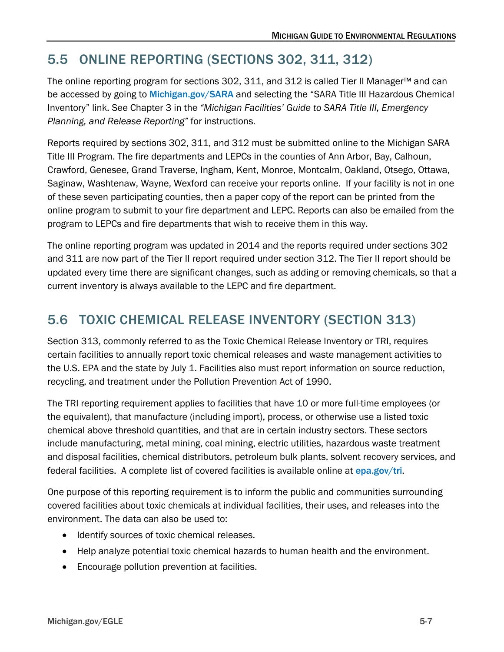## <span id="page-6-0"></span>5.5 ONLINE REPORTING (SECTIONS 302, 311, 312)

The online reporting program for sections 302, 311, and 312 is called Tier II Manager™ and can be accessed by going to [Michigan.gov/SARA](https://www.michigan.gov/egle/regulatory-assistance/emergency-planning-and-community-right-to-know) and selecting the "SARA Title III Hazardous Chemical Inventory" link. See Chapter 3 in the *"Michigan Facilities' Guide to SARA Title III, Emergency Planning, and Release Reporting"* for instructions.

Reports required by sections 302, 311, and 312 must be submitted online to the Michigan SARA Title III Program. The fire departments and LEPCs in the counties of Ann Arbor, Bay, Calhoun, Crawford, Genesee, Grand Traverse, Ingham, Kent, Monroe, Montcalm, Oakland, Otsego, Ottawa, Saginaw, Washtenaw, Wayne, Wexford can receive your reports online. If your facility is not in one of these seven participating counties, then a paper copy of the report can be printed from the online program to submit to your fire department and LEPC. Reports can also be emailed from the program to LEPCs and fire departments that wish to receive them in this way.

The online reporting program was updated in 2014 and the reports required under sections 302 and 311 are now part of the Tier II report required under section 312. The Tier II report should be updated every time there are significant changes, such as adding or removing chemicals, so that a current inventory is always available to the LEPC and fire department.

## <span id="page-6-1"></span>5.6 TOXIC CHEMICAL RELEASE INVENTORY (SECTION 313)

Section 313, commonly referred to as the Toxic Chemical Release Inventory or TRI, requires certain facilities to annually report toxic chemical releases and waste management activities to the U.S. EPA and the state by July 1. Facilities also must report information on source reduction, recycling, and treatment under the Pollution Prevention Act of 1990.

The TRI reporting requirement applies to facilities that have 10 or more full-time employees (or the equivalent), that manufacture (including import), process, or otherwise use a listed toxic chemical above threshold quantities, and that are in certain industry sectors. These sectors include manufacturing, metal mining, coal mining, electric utilities, hazardous waste treatment and disposal facilities, chemical distributors, petroleum bulk plants, solvent recovery services, and federalfacilities. A complete list of covered facilities is available online at [epa.gov/tri](https://www.epa.gov/toxics-release-inventory-tri-program).

One purpose of this reporting requirement is to inform the public and communities surrounding covered facilities about toxic chemicals at individual facilities, their uses, and releases into the environment. The data can also be used to:

- Identify sources of toxic chemical releases.
- Help analyze potential toxic chemical hazards to human health and the environment.
- Encourage pollution prevention at facilities.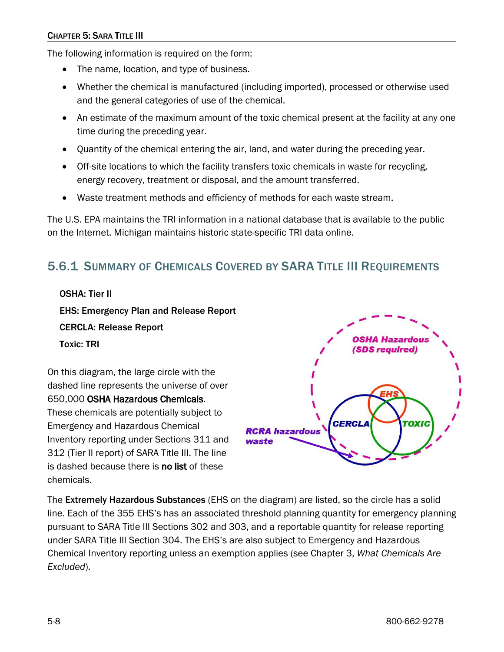The following information is required on the form:

- The name, location, and type of business.
- Whether the chemical is manufactured (including imported), processed or otherwise used and the general categories of use of the chemical.
- An estimate of the maximum amount of the toxic chemical present at the facility at any one time during the preceding year.
- Quantity of the chemical entering the air, land, and water during the preceding year.
- Off-site locations to which the facility transfers toxic chemicals in waste for recycling, energy recovery, treatment or disposal, and the amount transferred.
- Waste treatment methods and efficiency of methods for each waste stream.

The U.S. EPA maintains the TRI information in a national database that is available to the public on the Internet. Michigan maintains historic state-specific TRI data online.

## <span id="page-7-0"></span>5.6.1 SUMMARY OF CHEMICALS COVERED BY SARA TITLE III REQUIREMENTS

OSHA: Tier II EHS: Emergency Plan and Release Report

CERCLA: Release Report

Toxic: TRI

On this diagram, the large circle with the dashed line represents the universe of over 650,000 OSHA Hazardous Chemicals. These chemicals are potentially subject to Emergency and Hazardous Chemical Inventory reporting under Sections 311 and 312 (Tier II report) of SARA Title III. The line is dashed because there is no list of these chemicals.



The Extremely Hazardous Substances (EHS on the diagram) are listed, so the circle has a solid line. Each of the 355 EHS's has an associated threshold planning quantity for emergency planning pursuant to SARA Title III Sections 302 and 303, and a reportable quantity for release reporting under SARA Title III Section 304. The EHS's are also subject to Emergency and Hazardous Chemical Inventory reporting unless an exemption applies (see Chapter 3, *What Chemicals Are Excluded*).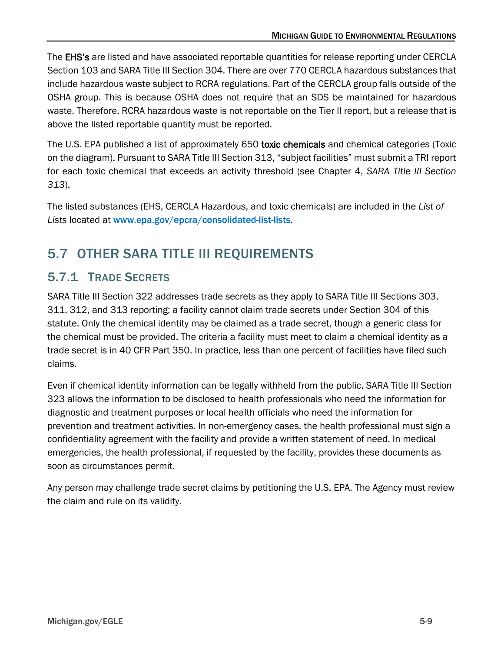The **EHS's** are listed and have associated reportable quantities for release reporting under CERCLA Section 103 and SARA Title III Section 304. There are over 770 CERCLA hazardous substances that include hazardous waste subject to RCRA regulations. Part of the CERCLA group falls outside of the OSHA group. This is because OSHA does not require that an SDS be maintained for hazardous waste. Therefore, RCRA hazardous waste is not reportable on the Tier II report, but a release that is above the listed reportable quantity must be reported.

The U.S. EPA published a list of approximately 650 toxic chemicals and chemical categories (Toxic on the diagram). Pursuant to SARA Title III Section 313, "subject facilities" must submit a TRI report for each toxic chemical that exceeds an activity threshold (see Chapter 4, *SARA Title III Section 313*).

The listed substances (EHS, CERCLA Hazardous, and toxic chemicals) are included in the *List of Lists* located at [www.epa.gov/epcra/consolidated-list-lists](https://www.epa.gov/epcra/consolidated-list-lists).

## <span id="page-8-0"></span>5.7 OTHER SARA TITLE III REQUIREMENTS

## <span id="page-8-1"></span>5.7.1 TRADE SECRETS

SARA Title III Section 322 addresses trade secrets as they apply to SARA Title III Sections 303, 311, 312, and 313 reporting; a facility cannot claim trade secrets under Section 304 of this statute. Only the chemical identity may be claimed as a trade secret, though a generic class for the chemical must be provided. The criteria a facility must meet to claim a chemical identity as a trade secret is in 40 CFR Part 350. In practice, less than one percent of facilities have filed such claims.

Even if chemical identity information can be legally withheld from the public, SARA Title III Section 323 allows the information to be disclosed to health professionals who need the information for diagnostic and treatment purposes or local health officials who need the information for prevention and treatment activities. In non-emergency cases, the health professional must sign a confidentiality agreement with the facility and provide a written statement of need. In medical emergencies, the health professional, if requested by the facility, provides these documents as soon as circumstances permit.

<span id="page-8-2"></span>Any person may challenge trade secret claims by petitioning the U.S. EPA. The Agency must review the claim and rule on its validity.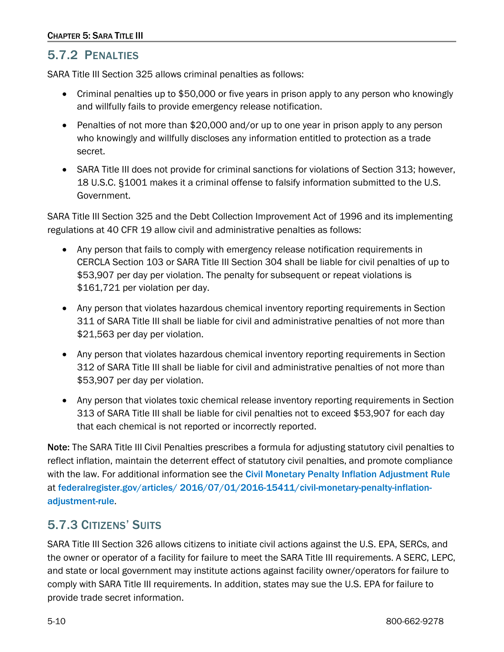## 5.7.2 PENALTIES

SARA Title III Section 325 allows criminal penalties as follows:

- Criminal penalties up to \$50,000 or five years in prison apply to any person who knowingly and willfully fails to provide emergency release notification.
- Penalties of not more than \$20,000 and/or up to one year in prison apply to any person who knowingly and willfully discloses any information entitled to protection as a trade secret.
- SARA Title III does not provide for criminal sanctions for violations of Section 313; however, 18 U.S.C. §1001 makes it a criminal offense to falsify information submitted to the U.S. Government.

SARA Title III Section 325 and the Debt Collection Improvement Act of 1996 and its implementing regulations at 40 CFR 19 allow civil and administrative penalties as follows:

- Any person that fails to comply with emergency release notification requirements in CERCLA Section 103 or SARA Title III Section 304 shall be liable for civil penalties of up to \$53,907 per day per violation. The penalty for subsequent or repeat violations is \$161,721 per violation per day.
- Any person that violates hazardous chemical inventory reporting requirements in Section 311 of SARA Title III shall be liable for civil and administrative penalties of not more than \$21,563 per day per violation.
- Any person that violates hazardous chemical inventory reporting requirements in Section 312 of SARA Title III shall be liable for civil and administrative penalties of not more than \$53,907 per day per violation.
- Any person that violates toxic chemical release inventory reporting requirements in Section 313 of SARA Title III shall be liable for civil penalties not to exceed \$53,907 for each day that each chemical is not reported or incorrectly reported.

Note: The SARA Title III Civil Penalties prescribes a formula for adjusting statutory civil penalties to reflect inflation, maintain the deterrent effect of statutory civil penalties, and promote compliance with the law. For additional information see the [Civil Monetary Penalty Inflation Adjustment Rule](https://www.federalregister.gov/documents/2016/07/01/2016-15411/civil-monetary-penalty-inflation-adjustment-rule) at [federalregister.gov/articles/ 2016/07/01/2016-15411/civil-monetary-penalty-inflation](https://www.federalregister.gov/documents/2016/07/01/2016-15411/civil-monetary-penalty-inflation-adjustment-rule)[adjustment-rule](https://www.federalregister.gov/documents/2016/07/01/2016-15411/civil-monetary-penalty-inflation-adjustment-rule).

## <span id="page-9-0"></span>5.7.3 CITIZENS' SUITS

SARA Title III Section 326 allows citizens to initiate civil actions against the U.S. EPA, SERCs, and the owner or operator of a facility for failure to meet the SARA Title III requirements. A SERC, LEPC, and state or local government may institute actions against facility owner/operators for failure to comply with SARA Title III requirements. In addition, states may sue the U.S. EPA for failure to provide trade secret information.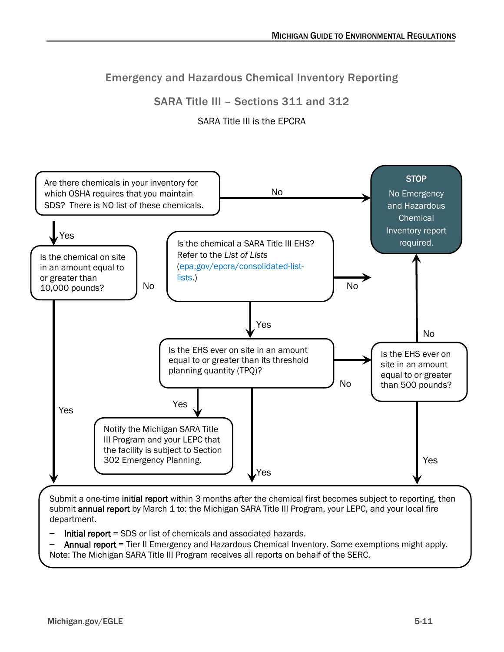## Emergency and Hazardous Chemical Inventory Reporting

### SARA Title III – Sections 311 and 312

### SARA Title III is the EPCRA



Submit a one-time initial report within 3 months after the chemical first becomes subject to reporting, then submit annual report by March 1 to: the Michigan SARA Title III Program, your LEPC, and your local fire department.

- Initial report = SDS or list of chemicals and associated hazards.
- Annual report = Tier II Emergency and Hazardous Chemical Inventory. Some exemptions might apply. Note: The Michigan SARA Title III Program receives all reports on behalf of the SERC.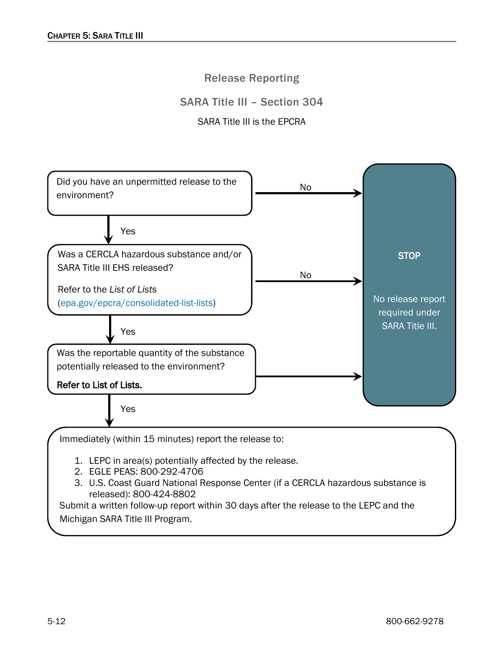### Release Reporting

### SARA Title III – Section 304

#### SARA Title III is the EPCRA



3. U.S. Coast Guard National Response Center (if a CERCLA hazardous substance is released): 800-424-8802

Submit a written follow-up report within 30 days after the release to the LEPC and the Michigan SARA Title III Program.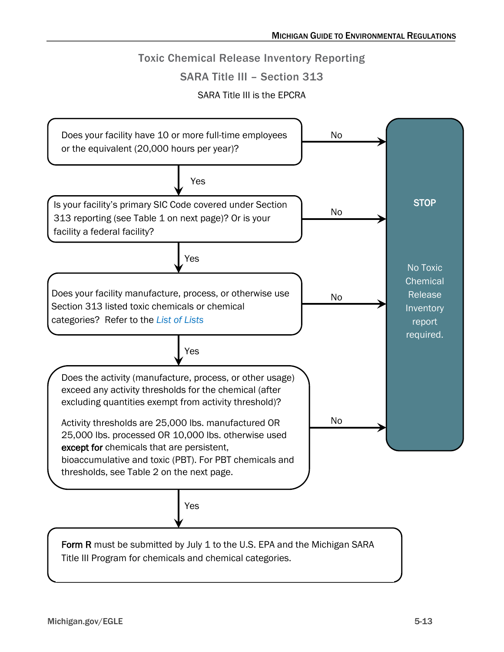### Toxic Chemical Release Inventory Reporting

#### SARA Title III – Section 313

SARA Title III is the EPCRA

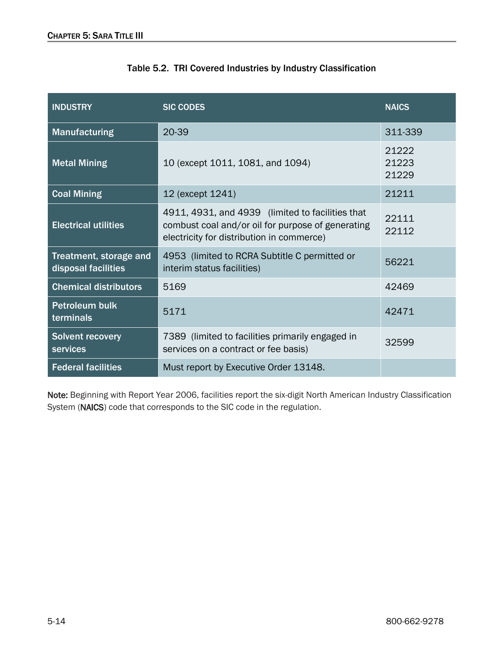| <b>INDUSTRY</b>                               | <b>SIC CODES</b>                                                                                                                                   | <b>NAICS</b>            |
|-----------------------------------------------|----------------------------------------------------------------------------------------------------------------------------------------------------|-------------------------|
| <b>Manufacturing</b>                          | 20-39                                                                                                                                              | 311-339                 |
| <b>Metal Mining</b>                           | 10 (except 1011, 1081, and 1094)                                                                                                                   | 21222<br>21223<br>21229 |
| <b>Coal Mining</b>                            | 12 (except 1241)                                                                                                                                   | 21211                   |
| <b>Electrical utilities</b>                   | 4911, 4931, and 4939 (limited to facilities that<br>combust coal and/or oil for purpose of generating<br>electricity for distribution in commerce) | 22111<br>22112          |
| Treatment, storage and<br>disposal facilities | 4953 (limited to RCRA Subtitle C permitted or<br>interim status facilities)                                                                        | 56221                   |
| <b>Chemical distributors</b>                  | 5169                                                                                                                                               | 42469                   |
| <b>Petroleum bulk</b><br>terminals            | 5171                                                                                                                                               | 42471                   |
| <b>Solvent recovery</b><br>services           | 7389 (limited to facilities primarily engaged in<br>services on a contract or fee basis)                                                           | 32599                   |
| <b>Federal facilities</b>                     | Must report by Executive Order 13148.                                                                                                              |                         |

### Table 5.2. TRI Covered Industries by Industry Classification

Note: Beginning with Report Year 2006, facilities report the six-digit North American Industry Classification System (NAICS) code that corresponds to the SIC code in the regulation.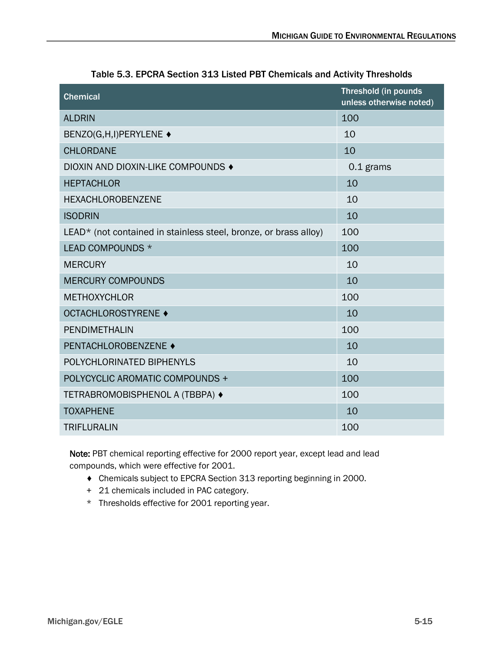| <b>Chemical</b>                                                  | <b>Threshold (in pounds</b><br>unless otherwise noted) |
|------------------------------------------------------------------|--------------------------------------------------------|
| <b>ALDRIN</b>                                                    | 100                                                    |
| BENZO(G,H,I)PERYLENE ♦                                           | 10                                                     |
| <b>CHLORDANE</b>                                                 | 10                                                     |
| DIOXIN AND DIOXIN-LIKE COMPOUNDS ♦                               | 0.1 grams                                              |
| <b>HEPTACHLOR</b>                                                | 10                                                     |
| <b>HEXACHLOROBENZENE</b>                                         | 10                                                     |
| <b>ISODRIN</b>                                                   | 10                                                     |
| LEAD* (not contained in stainless steel, bronze, or brass alloy) | 100                                                    |
| LEAD COMPOUNDS *                                                 | 100                                                    |
| <b>MERCURY</b>                                                   | 10                                                     |
| <b>MERCURY COMPOUNDS</b>                                         | 10                                                     |
| <b>METHOXYCHLOR</b>                                              | 100                                                    |
| <b>OCTACHLOROSTYRENE ♦</b>                                       | 10                                                     |
| PENDIMETHALIN                                                    | 100                                                    |
| PENTACHLOROBENZENE ♦                                             | 10                                                     |
| POLYCHLORINATED BIPHENYLS                                        | 10                                                     |
| POLYCYCLIC AROMATIC COMPOUNDS +                                  | 100                                                    |
| TETRABROMOBISPHENOL A (TBBPA) ♦                                  | 100                                                    |
| <b>TOXAPHENE</b>                                                 | 10                                                     |
| <b>TRIFLURALIN</b>                                               | 100                                                    |

Table 5.3. EPCRA Section 313 Listed PBT Chemicals and Activity Thresholds

Note: PBT chemical reporting effective for 2000 report year, except lead and lead compounds, which were effective for 2001.

- ♦ Chemicals subject to EPCRA Section 313 reporting beginning in 2000.
- + 21 chemicals included in PAC category.
- \* Thresholds effective for 2001 reporting year.